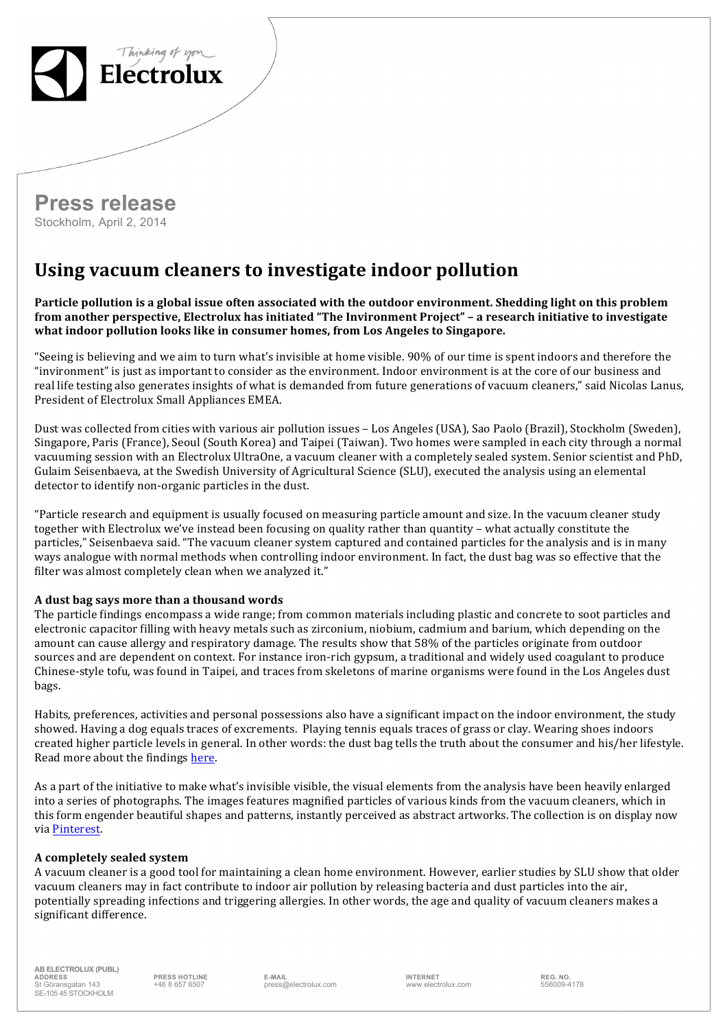

## **Press release** Stockholm, April 2, 2014

## **Using vacuum cleaners to investigate indoor pollution**

**Particle pollution is a global issue often associated with the outdoor environment. Shedding light on this problem** from another perspective, Electrolux has initiated "The Invironment Project" - a research initiative to investigate what indoor pollution looks like in consumer homes, from Los Angeles to Singapore.

"Seeing is believing and we aim to turn what's invisible at home visible. 90% of our time is spent indoors and therefore the "invironment" is just as important to consider as the environment. Indoor environment is at the core of our business and real life testing also generates insights of what is demanded from future generations of vacuum cleaners," said Nicolas Lanus, President of Electrolux Small Appliances EMEA.

Dust was collected from cities with various air pollution issues – Los Angeles (USA), Sao Paolo (Brazil), Stockholm (Sweden), Singapore, Paris (France), Seoul (South Korea) and Taipei (Taiwan). Two homes were sampled in each city through a normal vacuuming session with an Electrolux UltraOne, a vacuum cleaner with a completely sealed system. Senior scientist and PhD, Gulaim Seisenbaeva, at the Swedish University of Agricultural Science (SLU), executed the analysis using an elemental detector to identify non-organic particles in the dust.

"Particle research and equipment is usually focused on measuring particle amount and size. In the vacuum cleaner study together with Electrolux we've instead been focusing on quality rather than quantity – what actually constitute the particles," Seisenbaeva said. "The vacuum cleaner system captured and contained particles for the analysis and is in many ways analogue with normal methods when controlling indoor environment. In fact, the dust bag was so effective that the filter was almost completely clean when we analyzed it."

## **A dust bag says more than a thousand words**

The particle findings encompass a wide range; from common materials including plastic and concrete to soot particles and electronic capacitor filling with heavy metals such as zirconium, niobium, cadmium and barium, which depending on the amount can cause allergy and respiratory damage. The results show that 58% of the particles originate from outdoor sources and are dependent on context. For instance iron-rich gypsum, a traditional and widely used coagulant to produce Chinese-style tofu, was found in Taipei, and traces from skeletons of marine organisms were found in the Los Angeles dust bags. 

Habits, preferences, activities and personal possessions also have a significant impact on the indoor environment, the study showed. Having a dog equals traces of excrements. Playing tennis equals traces of grass or clay. Wearing shoes indoors created higher particle levels in general. In other words: the dust bag tells the truth about the consumer and his/her lifestyle. Read more about the findings here.

As a part of the initiative to make what's invisible visible, the visual elements from the analysis have been heavily enlarged into a series of photographs. The images features magnified particles of various kinds from the vacuum cleaners, which in this form engender beautiful shapes and patterns, instantly perceived as abstract artworks. The collection is on display now via Pinterest.

## **A completely sealed system**

A vacuum cleaner is a good tool for maintaining a clean home environment. However, earlier studies by SLU show that older vacuum cleaners may in fact contribute to indoor air pollution by releasing bacteria and dust particles into the air, potentially spreading infections and triggering allergies. In other words, the age and quality of vacuum cleaners makes a significant difference.

**AB ELECTROLUX (PUBL) ADDRESS PRESS HOTLINE E-MAIL INTERNET REG. NO.** St Göransgatan 143 SE-105 45 STOCKHOLM

+46 8 657 6507 press@electrolux.com www.electrolux.com 556009-4178